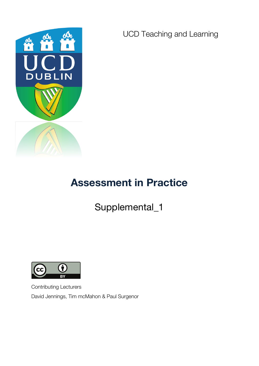

UCD Teaching and Learning

# **Assessment in Practice**

Supplemental\_1



Contributing Lecturers David Jennings, Tim mcMahon & Paul Surgenor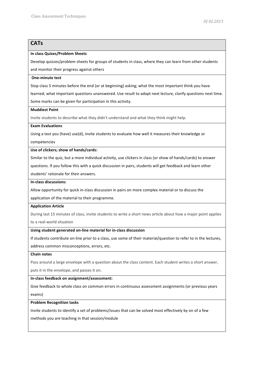# **CATs In class Quizes/Problem Sheets** Develop quizzes/problem sheets for groups of students in class, where they can learn from other students and monitor their progress against others **One-minute test** Stop class 5 minutes before the end (or at beginning) asking; what the most important think you have learned; what important questions unanswered. Use result to adapt next lecture, clarify questions next time. Some marks can be given for participation in this activity. **Muddiest Point** Invite students to describe what they didn't understand and what they think might help. **Exam Evaluations** Using a test you (have) use(d), invite students to evaluate how well it measures their knowledge or competencies Use of clickers; show of hands/cards: Similar to the quiz, but a more individual activity, use clickers in class (or show of hands/cards) to answer questions. If you follow this with a quick discussion in pairs, students will get feedback and learn other students' rationale for their answers. **In-class discussions:**  Allow opportunity for quick in-class discussion in pairs on more complex material or to discuss the application of the material to their programme.

#### **Application Article**

During last 15 minutes of class, invite students to write a short news article about how a major point applies

to a real-world situation

# Using student generated on-line material for in-class discussion

If students contribute on-line prior to a class, use some of their material/question to refer to in the lectures,

address common misconceptions, errors, etc.

#### **Chain notes**

Pass around a large envelope with a question about the class content. Each student writes a short answer,

puts it in the envelope, and passes it on.

#### **In-class feedback on assignment/assessment:**

Give feedback to whole class on common errors in continuous assessment assignments (or previous years exams)

#### **Problem Recognition tasks**

Invite students to identify a set of problems/issues that can be solved most effectively by on of a few

methods you are teaching in that session/module